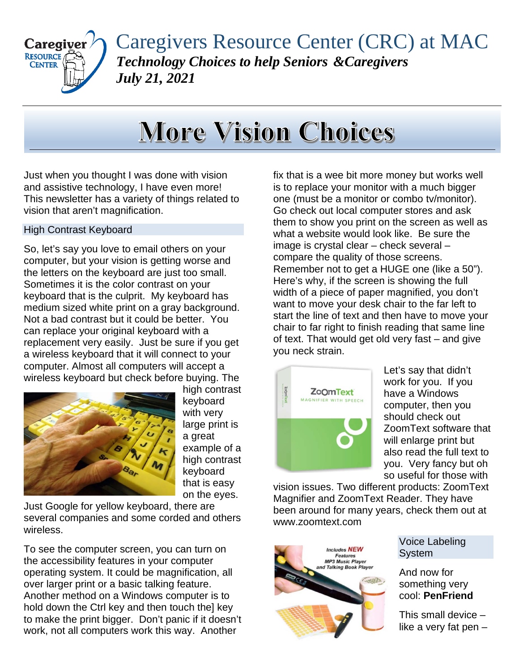

Caregivers Resource Center (CRC) at MAC *Technology Choices to help Seniors &Caregivers July 21, 2021*

## **More Vision Choices**

Just when you thought I was done with vision and assistive technology, I have even more! This newsletter has a variety of things related to vision that aren't magnification.

## High Contrast Keyboard

So, let's say you love to email others on your computer, but your vision is getting worse and the letters on the keyboard are just too small. Sometimes it is the color contrast on your keyboard that is the culprit. My keyboard has medium sized white print on a gray background. Not a bad contrast but it could be better. You can replace your original keyboard with a replacement very easily. Just be sure if you get a wireless keyboard that it will connect to your computer. Almost all computers will accept a wireless keyboard but check before buying. The



high contrast keyboard with very large print is a great example of a high contrast keyboard that is easy on the eyes.

Just Google for yellow keyboard, there are several companies and some corded and others wireless.

To see the computer screen, you can turn on the accessibility features in your computer operating system. It could be magnification, all over larger print or a basic talking feature. Another method on a Windows computer is to hold down the Ctrl key and then touch the] key to make the print bigger. Don't panic if it doesn't work, not all computers work this way. Another

fix that is a wee bit more money but works well is to replace your monitor with a much bigger one (must be a monitor or combo tv/monitor). Go check out local computer stores and ask them to show you print on the screen as well as what a website would look like. Be sure the image is crystal clear – check several – compare the quality of those screens. Remember not to get a HUGE one (like a 50"). Here's why, if the screen is showing the full width of a piece of paper magnified, you don't want to move your desk chair to the far left to start the line of text and then have to move your chair to far right to finish reading that same line of text. That would get old very fast – and give you neck strain.



Let's say that didn't work for you. If you have a Windows computer, then you should check out ZoomText software that will enlarge print but also read the full text to you. Very fancy but oh so useful for those with

vision issues. Two different products: ZoomText Magnifier and ZoomText Reader. They have been around for many years, check them out at www.zoomtext.com



Voice Labeling System

And now for something very cool: **PenFriend**

This small device – like a very fat pen –